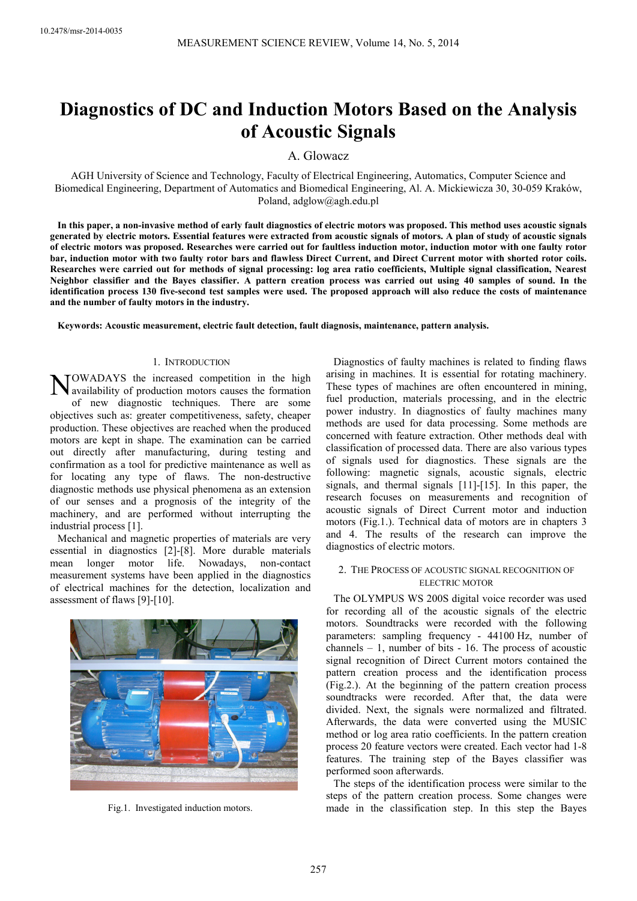# **Diagnostics of DC and Induction Motors Based on the Analysis of Acoustic Signals**

A. Glowacz

AGH University of Science and Technology, Faculty of Electrical Engineering, Automatics, Computer Science and Biomedical Engineering, Department of Automatics and Biomedical Engineering, Al. A. Mickiewicza 30, 30-059 Kraków, Poland, adglow@agh.edu.pl

**In this paper, a non-invasive method of early fault diagnostics of electric motors was proposed. This method uses acoustic signals generated by electric motors. Essential features were extracted from acoustic signals of motors. A plan of study of acoustic signals of electric motors was proposed. Researches were carried out for faultless induction motor, induction motor with one faulty rotor bar, induction motor with two faulty rotor bars and flawless Direct Current, and Direct Current motor with shorted rotor coils. Researches were carried out for methods of signal processing: log area ratio coefficients, Multiple signal classification, Nearest Neighbor classifier and the Bayes classifier. A pattern creation process was carried out using 40 samples of sound. In the identification process 130 five-second test samples were used. The proposed approach will also reduce the costs of maintenance and the number of faulty motors in the industry.** 

**Keywords: Acoustic measurement, electric fault detection, fault diagnosis, maintenance, pattern analysis.** 

#### 1. INTRODUCTION

OWADAYS the increased competition in the high NOWADAYS the increased competition in the high<br>availability of production motors causes the formation of new diagnostic techniques. There are some objectives such as: greater competitiveness, safety, cheaper production. These objectives are reached when the produced motors are kept in shape. The examination can be carried out directly after manufacturing, during testing and confirmation as a tool for predictive maintenance as well as for locating any type of flaws. The non-destructive diagnostic methods use physical phenomena as an extension of our senses and a prognosis of the integrity of the machinery, and are performed without interrupting the industrial process [1].

Mechanical and magnetic properties of materials are very essential in diagnostics [2]-[8]. More durable materials mean longer motor life. Nowadays, non-contact measurement systems have been applied in the diagnostics of electrical machines for the detection, localization and assessment of flaws [9]-[10].



Fig.1. Investigated induction motors.

Diagnostics of faulty machines is related to finding flaws arising in machines. It is essential for rotating machinery. These types of machines are often encountered in mining, fuel production, materials processing, and in the electric power industry. In diagnostics of faulty machines many methods are used for data processing. Some methods are concerned with feature extraction. Other methods deal with classification of processed data. There are also various types of signals used for diagnostics. These signals are the following: magnetic signals, acoustic signals, electric signals, and thermal signals [11]-[15]. In this paper, the research focuses on measurements and recognition of acoustic signals of Direct Current motor and induction motors (Fig.1.). Technical data of motors are in chapters 3 and 4. The results of the research can improve the diagnostics of electric motors.

## 2. THE PROCESS OF ACOUSTIC SIGNAL RECOGNITION OF ELECTRIC MOTOR

The OLYMPUS WS 200S digital voice recorder was used for recording all of the acoustic signals of the electric motors. Soundtracks were recorded with the following parameters: sampling frequency - 44100 Hz, number of channels – 1, number of bits - 16. The process of acoustic signal recognition of Direct Current motors contained the pattern creation process and the identification process (Fig.2.). At the beginning of the pattern creation process soundtracks were recorded. After that, the data were divided. Next, the signals were normalized and filtrated. Afterwards, the data were converted using the MUSIC method or log area ratio coefficients. In the pattern creation process 20 feature vectors were created. Each vector had 1-8 features. The training step of the Bayes classifier was performed soon afterwards.

The steps of the identification process were similar to the steps of the pattern creation process. Some changes were made in the classification step. In this step the Bayes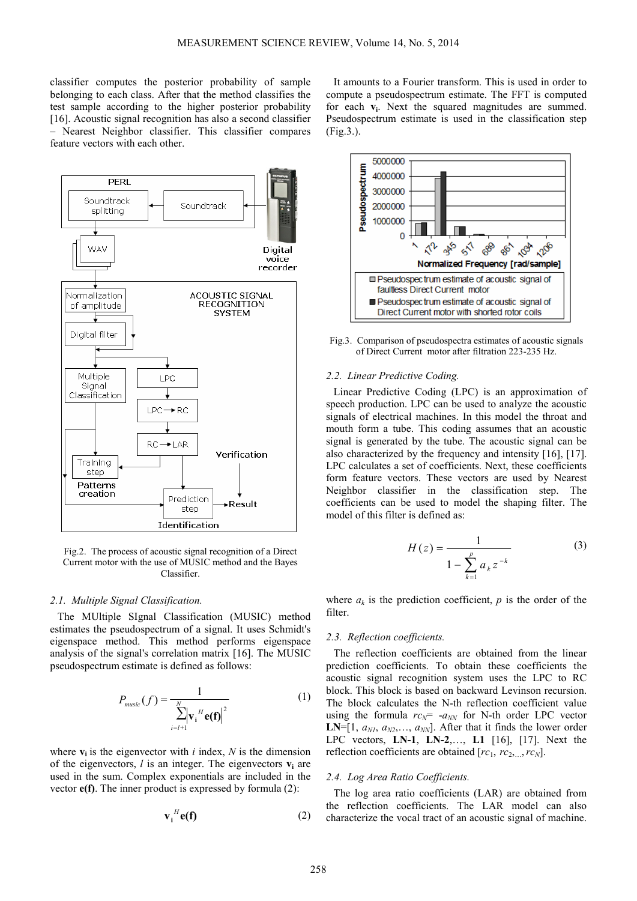classifier computes the posterior probability of sample belonging to each class. After that the method classifies the test sample according to the higher posterior probability [16]. Acoustic signal recognition has also a second classifier – Nearest Neighbor classifier. This classifier compares feature vectors with each other.



Fig.2. The process of acoustic signal recognition of a Direct Current motor with the use of MUSIC method and the Bayes Classifier.

## *2.1. Multiple Signal Classification.*

The MUltiple SIgnal Classification (MUSIC) method estimates the pseudospectrum of a signal. It uses Schmidt's eigenspace method. This method performs eigenspace analysis of the signal's correlation matrix [16]. The MUSIC pseudospectrum estimate is defined as follows:

$$
P_{\text{music}}(f) = \frac{1}{\sum_{i=l+1}^{N} |\mathbf{v}_{i}^{H}\mathbf{e}(\mathbf{f})|^{2}}
$$
(1)

where  $\mathbf{v}_i$  is the eigenvector with *i* index, *N* is the dimension of the eigenvectors,  $l$  is an integer. The eigenvectors  $v_i$  are used in the sum. Complex exponentials are included in the vector **e(f)**. The inner product is expressed by formula (2):

$$
\mathbf{v_i}^H \mathbf{e(f)} \tag{2}
$$

It amounts to a Fourier transform. This is used in order to compute a pseudospectrum estimate. The FFT is computed for each **v**<sub>i</sub>. Next the squared magnitudes are summed. Pseudospectrum estimate is used in the classification step (Fig.3.).



Fig.3. Comparison of pseudospectra estimates of acoustic signals of Direct Current motor after filtration 223-235 Hz.

#### *2.2. Linear Predictive Coding.*

Linear Predictive Coding (LPC) is an approximation of speech production. LPC can be used to analyze the acoustic signals of electrical machines. In this model the throat and mouth form a tube. This coding assumes that an acoustic signal is generated by the tube. The acoustic signal can be also characterized by the frequency and intensity [16], [17]. LPC calculates a set of coefficients. Next, these coefficients form feature vectors. These vectors are used by Nearest Neighbor classifier in the classification step. The coefficients can be used to model the shaping filter. The model of this filter is defined as:

$$
H(z) = \frac{1}{1 - \sum_{k=1}^{p} a_k z^{-k}}
$$
 (3)

where  $a_k$  is the prediction coefficient,  $p$  is the order of the filter.

#### *2.3. Reflection coefficients.*

The reflection coefficients are obtained from the linear prediction coefficients. To obtain these coefficients the acoustic signal recognition system uses the LPC to RC block. This block is based on backward Levinson recursion. The block calculates the N-th reflection coefficient value using the formula  $rc_N$ =  $-a_{NN}$  for N-th order LPC vector **LN**=[1,  $a_{N1}$ ,  $a_{N2}$ ,...,  $a_{NN}$ ]. After that it finds the lower order LPC vectors, **LN-1**, **LN-2**,…, **L1** [16], [17]. Next the reflection coefficients are obtained  $[rc_1, rc_2, ., rc_N]$ .

#### *2.4. Log Area Ratio Coefficients.*

The log area ratio coefficients (LAR) are obtained from the reflection coefficients. The LAR model can also characterize the vocal tract of an acoustic signal of machine.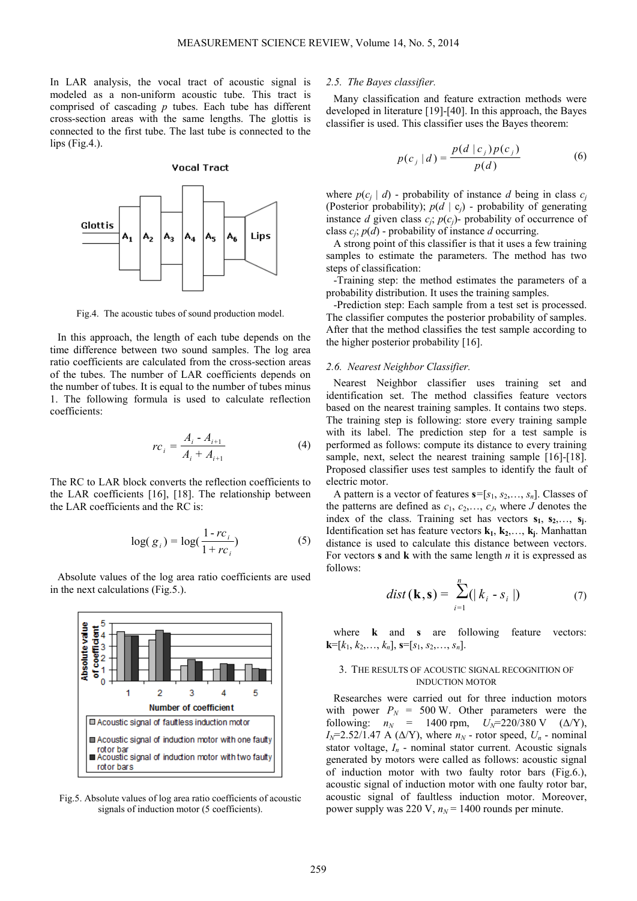In LAR analysis, the vocal tract of acoustic signal is modeled as a non-uniform acoustic tube. This tract is comprised of cascading *p* tubes. Each tube has different cross-section areas with the same lengths. The glottis is connected to the first tube. The last tube is connected to the  $lips$  (Fig.4.).

**Vocal Tract** 

Glottis  $A<sub>4</sub>$  $A<sub>2</sub>$  $A_3$ A<sub>6</sub> Lips Α, А5

Fig.4. The acoustic tubes of sound production model.

In this approach, the length of each tube depends on the time difference between two sound samples. The log area ratio coefficients are calculated from the cross-section areas of the tubes. The number of LAR coefficients depends on the number of tubes. It is equal to the number of tubes minus 1. The following formula is used to calculate reflection coefficients:

$$
rc_{i} = \frac{A_{i} - A_{i+1}}{A_{i} + A_{i+1}}
$$
 (4)

The RC to LAR block converts the reflection coefficients to the LAR coefficients [16], [18]. The relationship between the LAR coefficients and the RC is:

$$
\log(g_i) = \log(\frac{1 - rc_i}{1 + rc_i})\tag{5}
$$

Absolute values of the log area ratio coefficients are used in the next calculations (Fig.5.).



Fig.5. Absolute values of log area ratio coefficients of acoustic signals of induction motor (5 coefficients).

#### *2.5. The Bayes classifier.*

Many classification and feature extraction methods were developed in literature [19]-[40]. In this approach, the Bayes classifier is used. This classifier uses the Bayes theorem:

$$
p(c_j | d) = \frac{p(d | c_j) p(c_j)}{p(d)} \tag{6}
$$

where  $p(c_j | d)$  - probability of instance *d* being in class  $c_j$ (Posterior probability); *p*(*d* | c*j*) - probability of generating instance *d* given class  $c_j$ ;  $p(c_j)$ - probability of occurrence of class  $c_j$ ;  $p(d)$  - probability of instance *d* occurring.

A strong point of this classifier is that it uses a few training samples to estimate the parameters. The method has two steps of classification:

-Training step: the method estimates the parameters of a probability distribution. It uses the training samples.

-Prediction step: Each sample from a test set is processed. The classifier computes the posterior probability of samples. After that the method classifies the test sample according to the higher posterior probability [16].

#### *2.6. Nearest Neighbor Classifier.*

Nearest Neighbor classifier uses training set and identification set. The method classifies feature vectors based on the nearest training samples. It contains two steps. The training step is following: store every training sample with its label. The prediction step for a test sample is performed as follows: compute its distance to every training sample, next, select the nearest training sample [16]-[18]. Proposed classifier uses test samples to identify the fault of electric motor.

A pattern is a vector of features  $\mathbf{s}=[s_1, s_2, \dots, s_n]$ . Classes of the patterns are defined as  $c_1, c_2, \ldots, c_J$ , where *J* denotes the index of the class. Training set has vectors  $s_1, s_2,..., s_j$ . Identification set has feature vectors **k1**, **k2**,…, **k<sup>j</sup>** . Manhattan distance is used to calculate this distance between vectors. For vectors **s** and **k** with the same length *n* it is expressed as follows:

$$
dist(\mathbf{k}, \mathbf{s}) = \sum_{i=1}^{n} (|k_i - s_i|)
$$
 (7)

where **k** and **s** are following feature vectors:  $k=[k_1, k_2, \ldots, k_n], \mathbf{s}=[s_1, s_2, \ldots, s_n].$ 

## 3. THE RESULTS OF ACOUSTIC SIGNAL RECOGNITION OF INDUCTION MOTOR

Researches were carried out for three induction motors with power  $P_N = 500$  W. Other parameters were the following:  $n_N = 1400$  rpm,  $U_N = 220/380$  V ( $\Delta/Y$ ),  $I_N$ =2.52/1.47 A ( $\Delta$ /Y), where  $n_N$  - rotor speed,  $U_n$  - nominal stator voltage,  $I_n$  - nominal stator current. Acoustic signals generated by motors were called as follows: acoustic signal of induction motor with two faulty rotor bars (Fig.6.), acoustic signal of induction motor with one faulty rotor bar, acoustic signal of faultless induction motor. Moreover, power supply was 220 V,  $n_N$  = 1400 rounds per minute.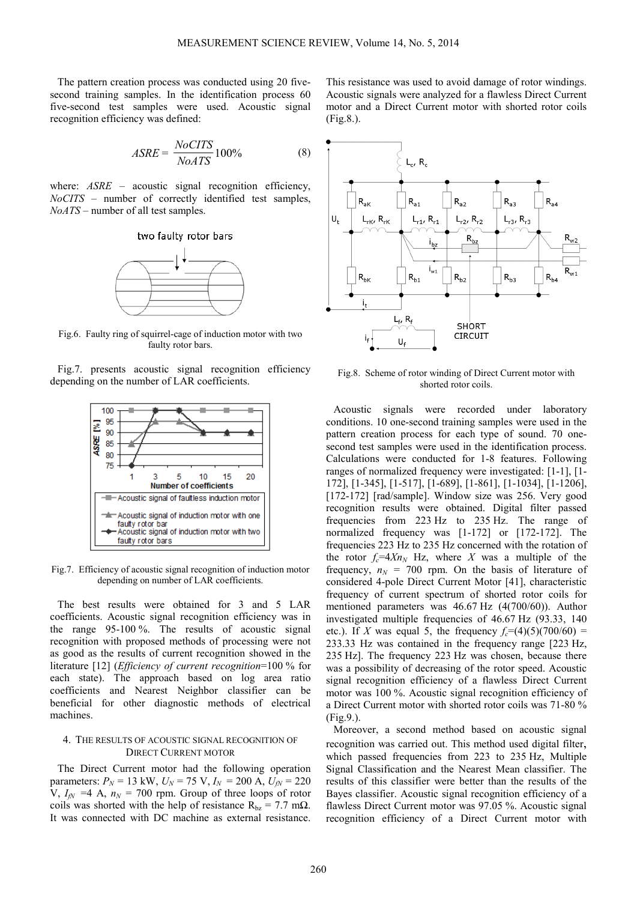The pattern creation process was conducted using 20 fivesecond training samples. In the identification process 60 five-second test samples were used. Acoustic signal recognition efficiency was defined:

$$
ASRE = \frac{NoCITS}{NoATS} 100\%
$$
 (8)

where: *ASRE* – acoustic signal recognition efficiency, *NoCITS* – number of correctly identified test samples, *NoATS* – number of all test samples.



Fig.6. Faulty ring of squirrel-cage of induction motor with two faulty rotor bars.

Fig.7. presents acoustic signal recognition efficiency depending on the number of LAR coefficients.



Fig.7. Efficiency of acoustic signal recognition of induction motor depending on number of LAR coefficients.

The best results were obtained for 3 and 5 LAR coefficients. Acoustic signal recognition efficiency was in the range 95-100 %. The results of acoustic signal recognition with proposed methods of processing were not as good as the results of current recognition showed in the literature [12] (*Efficiency of current recognition*=100 % for each state). The approach based on log area ratio coefficients and Nearest Neighbor classifier can be beneficial for other diagnostic methods of electrical machines.

## 4. THE RESULTS OF ACOUSTIC SIGNAL RECOGNITION OF DIRECT CURRENT MOTOR

The Direct Current motor had the following operation parameters:  $P_N = 13$  kW,  $U_N = 75$  V,  $I_N = 200$  A,  $U_N = 220$  $V, I_{fN} = 4$  A,  $n_N = 700$  rpm. Group of three loops of rotor coils was shorted with the help of resistance  $R_{bz} = 7.7$  m $\Omega$ . It was connected with DC machine as external resistance.

This resistance was used to avoid damage of rotor windings. Acoustic signals were analyzed for a flawless Direct Current motor and a Direct Current motor with shorted rotor coils (Fig.8.).



Fig.8. Scheme of rotor winding of Direct Current motor with shorted rotor coils.

Acoustic signals were recorded under laboratory conditions. 10 one-second training samples were used in the pattern creation process for each type of sound. 70 onesecond test samples were used in the identification process. Calculations were conducted for 1-8 features. Following ranges of normalized frequency were investigated: [1-1], [1- 172], [1-345], [1-517], [1-689], [1-861], [1-1034], [1-1206], [172-172] [rad/sample]. Window size was 256. Very good recognition results were obtained. Digital filter passed frequencies from 223 Hz to 235 Hz. The range of normalized frequency was [1-172] or [172-172]. The frequencies 223 Hz to 235 Hz concerned with the rotation of the rotor  $f_c = 4Xn_N$  Hz, where *X* was a multiple of the frequency,  $n_N = 700$  rpm. On the basis of literature of considered 4-pole Direct Current Motor [41], characteristic frequency of current spectrum of shorted rotor coils for mentioned parameters was 46.67 Hz (4(700/60)). Author investigated multiple frequencies of 46.67 Hz (93.33, 140 etc.). If *X* was equal 5, the frequency  $f_c = (4)(5)(700/60) =$ 233.33 Hz was contained in the frequency range [223 Hz, 235 Hz]. The frequency 223 Hz was chosen, because there was a possibility of decreasing of the rotor speed. Acoustic signal recognition efficiency of a flawless Direct Current motor was 100 %. Acoustic signal recognition efficiency of a Direct Current motor with shorted rotor coils was 71-80 % (Fig.9.).

Moreover, a second method based on acoustic signal recognition was carried out. This method used digital filter, which passed frequencies from 223 to 235 Hz, Multiple Signal Classification and the Nearest Mean classifier. The results of this classifier were better than the results of the Bayes classifier. Acoustic signal recognition efficiency of a flawless Direct Current motor was 97.05 %. Acoustic signal recognition efficiency of a Direct Current motor with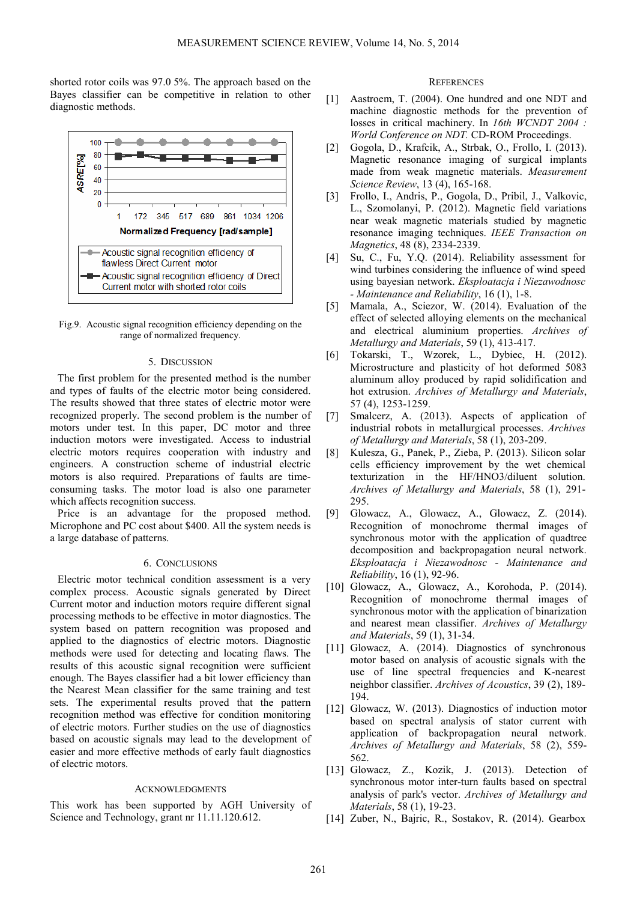shorted rotor coils was 97.0 5%. The approach based on the Bayes classifier can be competitive in relation to other diagnostic methods.



Fig.9. Acoustic signal recognition efficiency depending on the range of normalized frequency.

#### 5. DISCUSSION

The first problem for the presented method is the number and types of faults of the electric motor being considered. The results showed that three states of electric motor were recognized properly. The second problem is the number of motors under test. In this paper, DC motor and three induction motors were investigated. Access to industrial electric motors requires cooperation with industry and engineers. A construction scheme of industrial electric motors is also required. Preparations of faults are timeconsuming tasks. The motor load is also one parameter which affects recognition success.

Price is an advantage for the proposed method. Microphone and PC cost about \$400. All the system needs is a large database of patterns.

## 6. CONCLUSIONS

Electric motor technical condition assessment is a very complex process. Acoustic signals generated by Direct Current motor and induction motors require different signal processing methods to be effective in motor diagnostics. The system based on pattern recognition was proposed and applied to the diagnostics of electric motors. Diagnostic methods were used for detecting and locating flaws. The results of this acoustic signal recognition were sufficient enough. The Bayes classifier had a bit lower efficiency than the Nearest Mean classifier for the same training and test sets. The experimental results proved that the pattern recognition method was effective for condition monitoring of electric motors. Further studies on the use of diagnostics based on acoustic signals may lead to the development of easier and more effective methods of early fault diagnostics of electric motors.

#### ACKNOWLEDGMENTS

This work has been supported by AGH University of Science and Technology, grant nr 11.11.120.612.

## **REFERENCES**

- [1] Aastroem, T. (2004). One hundred and one NDT and machine diagnostic methods for the prevention of losses in critical machinery. In *16th WCNDT 2004 : World Conference on NDT.* CD-ROM Proceedings.
- [2] Gogola, D., Krafcik, A., Strbak, O., Frollo, I. (2013). Magnetic resonance imaging of surgical implants made from weak magnetic materials. *Measurement Science Review*, 13 (4), 165-168.
- [3] Frollo, I., Andris, P., Gogola, D., Pribil, J., Valkovic, L., Szomolanyi, P. (2012). Magnetic field variations near weak magnetic materials studied by magnetic resonance imaging techniques. *IEEE Transaction on Magnetics*, 48 (8), 2334-2339.
- [4] Su, C., Fu, Y.Q. (2014). Reliability assessment for wind turbines considering the influence of wind speed using bayesian network. *Eksploatacja i Niezawodnosc - Maintenance and Reliability*, 16 (1), 1-8.
- [5] Mamala, A., Sciezor, W. (2014). Evaluation of the effect of selected alloying elements on the mechanical and electrical aluminium properties. *Archives of Metallurgy and Materials*, 59 (1), 413-417.
- [6] Tokarski, T., Wzorek, L., Dybiec, H. (2012). Microstructure and plasticity of hot deformed 5083 aluminum alloy produced by rapid solidification and hot extrusion. *Archives of Metallurgy and Materials*, 57 (4), 1253-1259.
- [7] Smalcerz, A. (2013). Aspects of application of industrial robots in metallurgical processes. *Archives of Metallurgy and Materials*, 58 (1), 203-209.
- [8] Kulesza, G., Panek, P., Zieba, P. (2013). Silicon solar cells efficiency improvement by the wet chemical texturization in the HF/HNO3/diluent solution. *Archives of Metallurgy and Materials*, 58 (1), 291- 295.
- [9] Glowacz, A., Glowacz, A., Glowacz, Z. (2014). Recognition of monochrome thermal images of synchronous motor with the application of quadtree decomposition and backpropagation neural network. *Eksploatacja i Niezawodnosc - Maintenance and Reliability*, 16 (1), 92-96.
- [10] Glowacz, A., Glowacz, A., Korohoda, P. (2014). Recognition of monochrome thermal images of synchronous motor with the application of binarization and nearest mean classifier. *Archives of Metallurgy and Materials*, 59 (1), 31-34.
- [11] Glowacz, A. (2014). Diagnostics of synchronous motor based on analysis of acoustic signals with the use of line spectral frequencies and K-nearest neighbor classifier. *Archives of Acoustics*, 39 (2), 189- 194.
- [12] Glowacz, W. (2013). Diagnostics of induction motor based on spectral analysis of stator current with application of backpropagation neural network. *Archives of Metallurgy and Materials*, 58 (2), 559- 562.
- [13] Glowacz, Z., Kozik, J. (2013). Detection of synchronous motor inter-turn faults based on spectral analysis of park's vector. *Archives of Metallurgy and Materials*, 58 (1), 19-23.
- [14] Zuber, N., Bajric, R., Sostakov, R. (2014). Gearbox